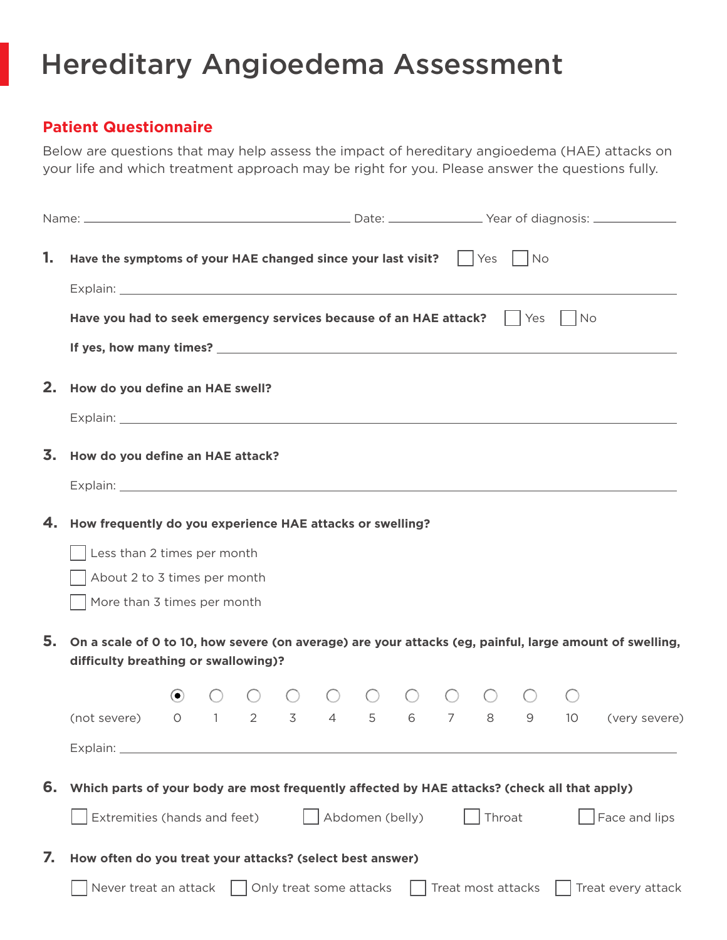## Hereditary Angioedema Assessment

## **Patient Questionnaire**

Below are questions that may help assess the impact of hereditary angioedema (HAE) attacks on your life and which treatment approach may be right for you. Please answer the questions fully.

| 1. | Have the symptoms of your HAE changed since your last visit? $\vert \cdot \vert$ Yes $\vert \cdot \vert$ No<br>Explain: North American Communication of the Communication of the Communication of the Communication of the Co  |                                                                                              |  |  |                                                         |  |  |  |  |  |  |  |                                                                                                         |
|----|--------------------------------------------------------------------------------------------------------------------------------------------------------------------------------------------------------------------------------|----------------------------------------------------------------------------------------------|--|--|---------------------------------------------------------|--|--|--|--|--|--|--|---------------------------------------------------------------------------------------------------------|
|    | Have you had to seek emergency services because of an HAE attack? $\vert \vert$ Yes $\vert \vert$ No                                                                                                                           |                                                                                              |  |  |                                                         |  |  |  |  |  |  |  |                                                                                                         |
|    | If yes, how many times? The contract of the contract of the contract of the contract of the contract of the contract of the contract of the contract of the contract of the contract of the contract of the contract of the co |                                                                                              |  |  |                                                         |  |  |  |  |  |  |  |                                                                                                         |
|    | 2. How do you define an HAE swell?                                                                                                                                                                                             |                                                                                              |  |  |                                                         |  |  |  |  |  |  |  |                                                                                                         |
|    |                                                                                                                                                                                                                                |                                                                                              |  |  |                                                         |  |  |  |  |  |  |  |                                                                                                         |
|    | 3. How do you define an HAE attack?                                                                                                                                                                                            |                                                                                              |  |  |                                                         |  |  |  |  |  |  |  |                                                                                                         |
|    |                                                                                                                                                                                                                                |                                                                                              |  |  |                                                         |  |  |  |  |  |  |  |                                                                                                         |
|    | 4. How frequently do you experience HAE attacks or swelling?                                                                                                                                                                   |                                                                                              |  |  |                                                         |  |  |  |  |  |  |  |                                                                                                         |
|    | Less than 2 times per month                                                                                                                                                                                                    |                                                                                              |  |  |                                                         |  |  |  |  |  |  |  |                                                                                                         |
|    | About 2 to 3 times per month                                                                                                                                                                                                   |                                                                                              |  |  |                                                         |  |  |  |  |  |  |  |                                                                                                         |
|    | More than 3 times per month                                                                                                                                                                                                    |                                                                                              |  |  |                                                         |  |  |  |  |  |  |  |                                                                                                         |
| 5. | difficulty breathing or swallowing)?                                                                                                                                                                                           |                                                                                              |  |  |                                                         |  |  |  |  |  |  |  | On a scale of 0 to 10, how severe (on average) are your attacks (eg, painful, large amount of swelling, |
|    |                                                                                                                                                                                                                                | $\odot$                                                                                      |  |  | $\begin{matrix} 0 & 0 & 0 & 0 & 0 & 0 & 0 \end{matrix}$ |  |  |  |  |  |  |  |                                                                                                         |
|    | (not severe)                                                                                                                                                                                                                   | $\overline{O}$                                                                               |  |  |                                                         |  |  |  |  |  |  |  | 1 2 3 4 5 6 7 8 9 10 (very severe)                                                                      |
|    | Explain: $\_$                                                                                                                                                                                                                  |                                                                                              |  |  |                                                         |  |  |  |  |  |  |  |                                                                                                         |
| 6. | Which parts of your body are most frequently affected by HAE attacks? (check all that apply)                                                                                                                                   |                                                                                              |  |  |                                                         |  |  |  |  |  |  |  |                                                                                                         |
|    | Extremities (hands and feet)<br>Abdomen (belly)<br>Throat<br>Face and lips                                                                                                                                                     |                                                                                              |  |  |                                                         |  |  |  |  |  |  |  |                                                                                                         |
| 7. | How often do you treat your attacks? (select best answer)                                                                                                                                                                      |                                                                                              |  |  |                                                         |  |  |  |  |  |  |  |                                                                                                         |
|    |                                                                                                                                                                                                                                | Never treat an attack<br>Only treat some attacks<br>Treat most attacks<br>Treat every attack |  |  |                                                         |  |  |  |  |  |  |  |                                                                                                         |